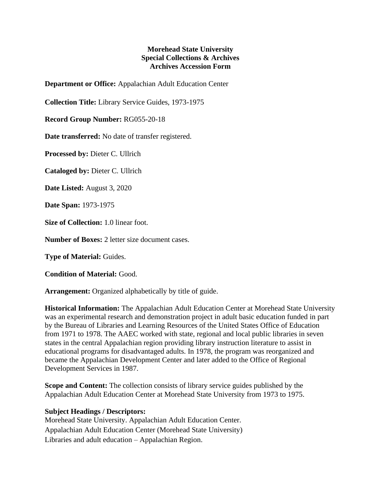## **Morehead State University Special Collections & Archives Archives Accession Form**

**Department or Office:** Appalachian Adult Education Center

**Collection Title:** Library Service Guides, 1973-1975

**Record Group Number:** RG055-20-18

**Date transferred:** No date of transfer registered.

**Processed by:** Dieter C. Ullrich

**Cataloged by:** Dieter C. Ullrich

**Date Listed:** August 3, 2020

**Date Span:** 1973-1975

**Size of Collection:** 1.0 linear foot.

**Number of Boxes:** 2 letter size document cases.

**Type of Material:** Guides.

**Condition of Material:** Good.

**Arrangement:** Organized alphabetically by title of guide.

**Historical Information:** The Appalachian Adult Education Center at Morehead State University was an experimental research and demonstration project in adult basic education funded in part by the Bureau of Libraries and Learning Resources of the United States Office of Education from 1971 to 1978. The AAEC worked with state, regional and local public libraries in seven states in the central Appalachian region providing library instruction literature to assist in educational programs for disadvantaged adults. In 1978, the program was reorganized and became the Appalachian Development Center and later added to the Office of Regional Development Services in 1987.

**Scope and Content:** The collection consists of library service guides published by the Appalachian Adult Education Center at Morehead State University from 1973 to 1975.

## **Subject Headings / Descriptors:**

Morehead State University. Appalachian Adult Education Center. Appalachian Adult Education Center (Morehead State University) Libraries and adult education – Appalachian Region.